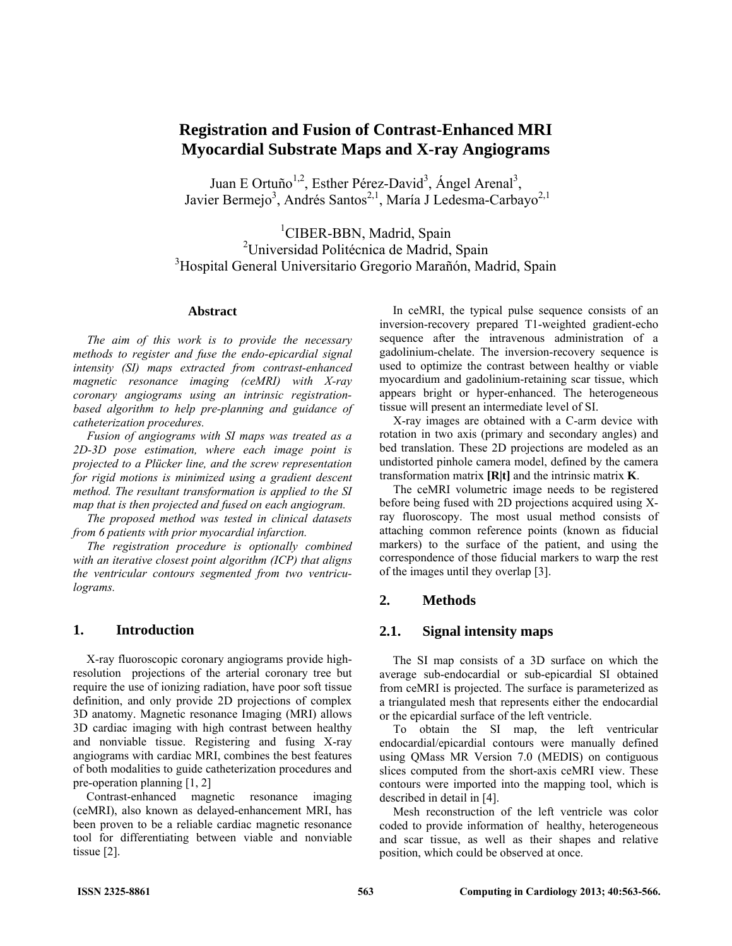# **Registration and Fusion of Contrast-Enhanced MRI Myocardial Substrate Maps and X-ray Angiograms**

Juan E Ortuño<sup>1,2</sup>, Esther Pérez-David<sup>3</sup>, Ángel Arenal<sup>3</sup>, Javier Bermejo<sup>3</sup>, Andrés Santos<sup>2,1</sup>, María J Ledesma-Carbayo<sup>2,1</sup>

<sup>1</sup>CIBER-BBN, Madrid, Spain <sup>2</sup>Universidad Politécnica de Madrid, Spain 3 Hospital General Universitario Gregorio Marañón, Madrid, Spain

#### **Abstract**

*The aim of this work is to provide the necessary methods to register and fuse the endo-epicardial signal intensity (SI) maps extracted from contrast-enhanced magnetic resonance imaging (ceMRI) with X-ray coronary angiograms using an intrinsic registrationbased algorithm to help pre-planning and guidance of catheterization procedures.* 

*Fusion of angiograms with SI maps was treated as a 2D-3D pose estimation, where each image point is projected to a Plücker line, and the screw representation for rigid motions is minimized using a gradient descent method. The resultant transformation is applied to the SI map that is then projected and fused on each angiogram.* 

*The proposed method was tested in clinical datasets from 6 patients with prior myocardial infarction.* 

*The registration procedure is optionally combined with an iterative closest point algorithm (ICP) that aligns the ventricular contours segmented from two ventriculograms.* 

# **1. Introduction**

X-ray fluoroscopic coronary angiograms provide highresolution projections of the arterial coronary tree but require the use of ionizing radiation, have poor soft tissue definition, and only provide 2D projections of complex 3D anatomy. Magnetic resonance Imaging (MRI) allows 3D cardiac imaging with high contrast between healthy and nonviable tissue. Registering and fusing X-ray angiograms with cardiac MRI, combines the best features of both modalities to guide catheterization procedures and pre-operation planning [1, 2]

Contrast-enhanced magnetic resonance imaging (ceMRI), also known as delayed-enhancement MRI, has been proven to be a reliable cardiac magnetic resonance tool for differentiating between viable and nonviable tissue [2].

In ceMRI, the typical pulse sequence consists of an inversion-recovery prepared T1-weighted gradient-echo sequence after the intravenous administration of a gadolinium-chelate. The inversion-recovery sequence is used to optimize the contrast between healthy or viable myocardium and gadolinium-retaining scar tissue, which appears bright or hyper-enhanced. The heterogeneous tissue will present an intermediate level of SI.

X-ray images are obtained with a C-arm device with rotation in two axis (primary and secondary angles) and bed translation. These 2D projections are modeled as an undistorted pinhole camera model, defined by the camera transformation matrix **[R|t]** and the intrinsic matrix **K**.

The ceMRI volumetric image needs to be registered before being fused with 2D projections acquired using Xray fluoroscopy. The most usual method consists of attaching common reference points (known as fiducial markers) to the surface of the patient, and using the correspondence of those fiducial markers to warp the rest of the images until they overlap [3].

#### **2. Methods**

### **2.1. Signal intensity maps**

The SI map consists of a 3D surface on which the average sub-endocardial or sub-epicardial SI obtained from ceMRI is projected. The surface is parameterized as a triangulated mesh that represents either the endocardial or the epicardial surface of the left ventricle.

To obtain the SI map, the left ventricular endocardial/epicardial contours were manually defined using QMass MR Version 7.0 (MEDIS) on contiguous slices computed from the short-axis ceMRI view. These contours were imported into the mapping tool, which is described in detail in [4].

Mesh reconstruction of the left ventricle was color coded to provide information of healthy, heterogeneous and scar tissue, as well as their shapes and relative position, which could be observed at once.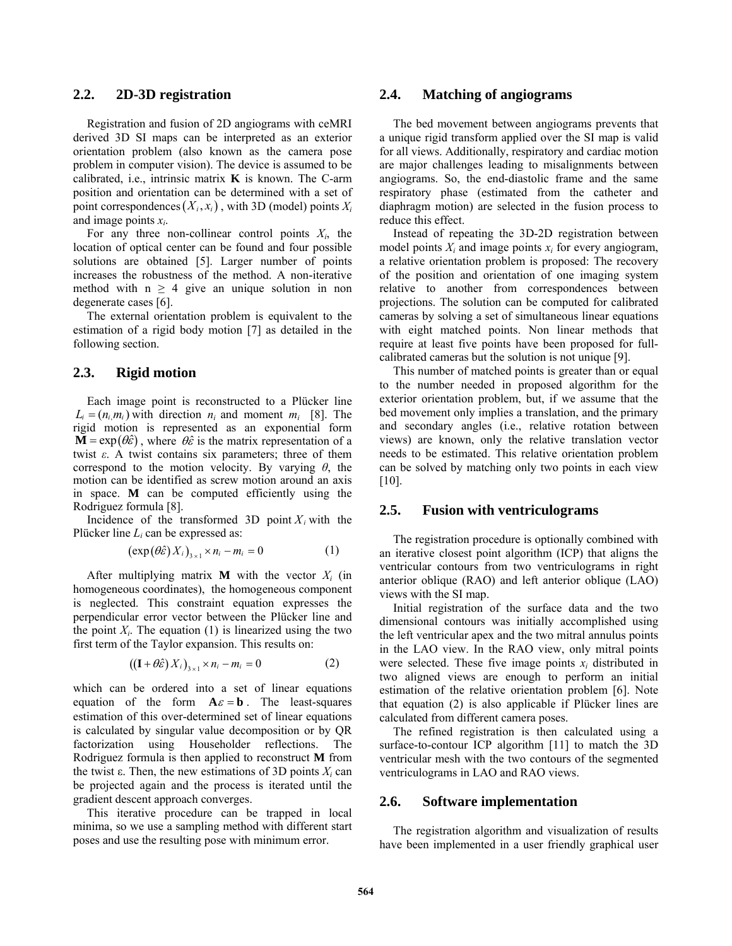# **2.2. 2D-3D registration**

Registration and fusion of 2D angiograms with ceMRI derived 3D SI maps can be interpreted as an exterior orientation problem (also known as the camera pose problem in computer vision). The device is assumed to be calibrated, i.e., intrinsic matrix **K** is known. The C-arm position and orientation can be determined with a set of point correspondences  $(X_i, x_i)$ , with 3D (model) points  $X_i$ and image points *xi*.

For any three non-collinear control points  $X_i$ , the location of optical center can be found and four possible solutions are obtained [5]. Larger number of points increases the robustness of the method. A non-iterative method with  $n \geq 4$  give an unique solution in non degenerate cases [6].

The external orientation problem is equivalent to the estimation of a rigid body motion [7] as detailed in the following section.

#### **2.3. Rigid motion**

Each image point is reconstructed to a Plücker line  $L_i = (n_i, m_i)$  with direction  $n_i$  and moment  $m_i$  [8]. The rigid motion is represented as an exponential form  $\mathbf{M} = \exp(\theta \hat{\varepsilon})$ , where  $\theta \hat{\varepsilon}$  is the matrix representation of a twist *ε*. A twist contains six parameters; three of them correspond to the motion velocity. By varying *θ*, the motion can be identified as screw motion around an axis in space. **M** can be computed efficiently using the Rodriguez formula [8].

Incidence of the transformed 3D point  $X_i$  with the Plücker line *Li* can be expressed as:

$$
(\exp(\theta \hat{\varepsilon}) X_i)_{3 \times 1} \times n_i - m_i = 0 \tag{1}
$$

After multiplying matrix **M** with the vector  $X_i$  (in homogeneous coordinates), the homogeneous component is neglected. This constraint equation expresses the perpendicular error vector between the Plücker line and the point  $X_i$ . The equation (1) is linearized using the two first term of the Taylor expansion. This results on:

$$
((\mathbf{I} + \theta \hat{\varepsilon}) X_i)_{3 \times 1} \times n_i - m_i = 0 \tag{2}
$$

which can be ordered into a set of linear equations equation of the form  $A \varepsilon = b$ . The least-squares estimation of this over-determined set of linear equations is calculated by singular value decomposition or by QR factorization using Householder reflections. The Rodriguez formula is then applied to reconstruct **M** from the twist  $\varepsilon$ . Then, the new estimations of 3D points  $X_i$  can be projected again and the process is iterated until the gradient descent approach converges.

This iterative procedure can be trapped in local minima, so we use a sampling method with different start poses and use the resulting pose with minimum error.

### **2.4. Matching of angiograms**

The bed movement between angiograms prevents that a unique rigid transform applied over the SI map is valid for all views. Additionally, respiratory and cardiac motion are major challenges leading to misalignments between angiograms. So, the end-diastolic frame and the same respiratory phase (estimated from the catheter and diaphragm motion) are selected in the fusion process to reduce this effect.

Instead of repeating the 3D-2D registration between model points  $X_i$  and image points  $x_i$  for every angiogram, a relative orientation problem is proposed: The recovery of the position and orientation of one imaging system relative to another from correspondences between projections. The solution can be computed for calibrated cameras by solving a set of simultaneous linear equations with eight matched points. Non linear methods that require at least five points have been proposed for fullcalibrated cameras but the solution is not unique [9].

This number of matched points is greater than or equal to the number needed in proposed algorithm for the exterior orientation problem, but, if we assume that the bed movement only implies a translation, and the primary and secondary angles (i.e., relative rotation between views) are known, only the relative translation vector needs to be estimated. This relative orientation problem can be solved by matching only two points in each view [10].

#### **2.5. Fusion with ventriculograms**

The registration procedure is optionally combined with an iterative closest point algorithm (ICP) that aligns the ventricular contours from two ventriculograms in right anterior oblique (RAO) and left anterior oblique (LAO) views with the SI map.

Initial registration of the surface data and the two dimensional contours was initially accomplished using the left ventricular apex and the two mitral annulus points in the LAO view. In the RAO view, only mitral points were selected. These five image points  $x_i$  distributed in two aligned views are enough to perform an initial estimation of the relative orientation problem [6]. Note that equation (2) is also applicable if Plücker lines are calculated from different camera poses.

The refined registration is then calculated using a surface-to-contour ICP algorithm [11] to match the 3D ventricular mesh with the two contours of the segmented ventriculograms in LAO and RAO views.

#### **2.6. Software implementation**

The registration algorithm and visualization of results have been implemented in a user friendly graphical user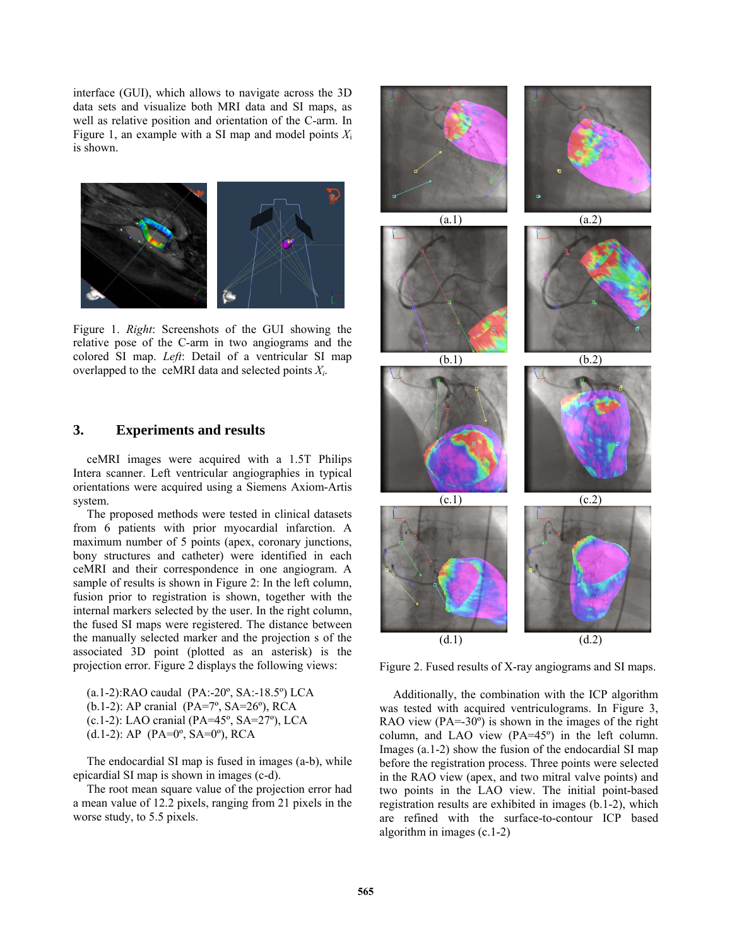interface (GUI), which allows to navigate across the 3D data sets and visualize both MRI data and SI maps, as well as relative position and orientation of the C-arm. In Figure 1, an example with a SI map and model points *X*<sup>i</sup> is shown.



Figure 1. *Right*: Screenshots of the GUI showing the relative pose of the C-arm in two angiograms and the colored SI map. *Left*: Detail of a ventricular SI map overlapped to the ceMRI data and selected points *Xi*.

# **3. Experiments and results**

ceMRI images were acquired with a 1.5T Philips Intera scanner. Left ventricular angiographies in typical orientations were acquired using a Siemens Axiom-Artis system.

The proposed methods were tested in clinical datasets from 6 patients with prior myocardial infarction. A maximum number of 5 points (apex, coronary junctions, bony structures and catheter) were identified in each ceMRI and their correspondence in one angiogram. A sample of results is shown in Figure 2: In the left column, fusion prior to registration is shown, together with the internal markers selected by the user. In the right column, the fused SI maps were registered. The distance between the manually selected marker and the projection s of the associated 3D point (plotted as an asterisk) is the projection error. Figure 2 displays the following views:

(a.1-2):RAO caudal (PA:-20º, SA:-18.5º) LCA (b.1-2): AP cranial (PA=7º, SA=26º), RCA (c.1-2): LAO cranial (PA=45º, SA=27º), LCA (d.1-2): AP (PA=0º, SA=0º), RCA

The endocardial SI map is fused in images (a-b), while epicardial SI map is shown in images (c-d).

The root mean square value of the projection error had a mean value of 12.2 pixels, ranging from 21 pixels in the worse study, to 5.5 pixels.



Figure 2. Fused results of X-ray angiograms and SI maps.

Additionally, the combination with the ICP algorithm was tested with acquired ventriculograms. In Figure 3, RAO view  $(PA = 30^\circ)$  is shown in the images of the right column, and LAO view (PA=45º) in the left column. Images (a.1-2) show the fusion of the endocardial SI map before the registration process. Three points were selected in the RAO view (apex, and two mitral valve points) and two points in the LAO view. The initial point-based registration results are exhibited in images (b.1-2), which are refined with the surface-to-contour ICP based algorithm in images (c.1-2)